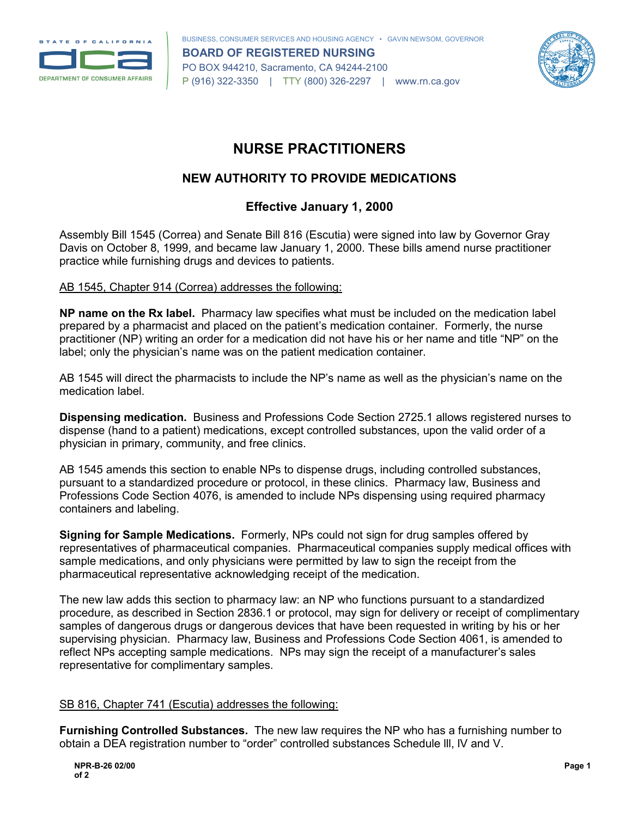

**BOARD OF REGISTERED NURSING** PO BOX 944210, Sacramento, CA 94244-2100 P (916) 322-3350 | TTY (800) 326-2297 | www.rn.ca.gov



# **NURSE PRACTITIONERS**

## **NEW AUTHORITY TO PROVIDE MEDICATIONS**

## **Effective January 1, 2000**

Assembly Bill 1545 (Correa) and Senate Bill 816 (Escutia) were signed into law by Governor Gray Davis on October 8, 1999, and became law January 1, 2000. These bills amend nurse practitioner practice while furnishing drugs and devices to patients.

### AB 1545, Chapter 914 (Correa) addresses the following:

**NP name on the Rx label.** Pharmacy law specifies what must be included on the medication label prepared by a pharmacist and placed on the patient's medication container. Formerly, the nurse practitioner (NP) writing an order for a medication did not have his or her name and title "NP" on the label; only the physician's name was on the patient medication container.

AB 1545 will direct the pharmacists to include the NP's name as well as the physician's name on the medication label.

**Dispensing medication.** Business and Professions Code Section 2725.1 allows registered nurses to dispense (hand to a patient) medications, except controlled substances, upon the valid order of a physician in primary, community, and free clinics.

AB 1545 amends this section to enable NPs to dispense drugs, including controlled substances, pursuant to a standardized procedure or protocol, in these clinics. Pharmacy law, Business and Professions Code Section 4076, is amended to include NPs dispensing using required pharmacy containers and labeling.

**Signing for Sample Medications.** Formerly, NPs could not sign for drug samples offered by representatives of pharmaceutical companies. Pharmaceutical companies supply medical offices with sample medications, and only physicians were permitted by law to sign the receipt from the pharmaceutical representative acknowledging receipt of the medication.

The new law adds this section to pharmacy law: an NP who functions pursuant to a standardized procedure, as described in Section 2836.1 or protocol, may sign for delivery or receipt of complimentary samples of dangerous drugs or dangerous devices that have been requested in writing by his or her supervising physician. Pharmacy law, Business and Professions Code Section 4061, is amended to reflect NPs accepting sample medications. NPs may sign the receipt of a manufacturer's sales representative for complimentary samples.

### SB 816, Chapter 741 (Escutia) addresses the following:

**Furnishing Controlled Substances.** The new law requires the NP who has a furnishing number to obtain a DEA registration number to "order" controlled substances Schedule lll, lV and V.